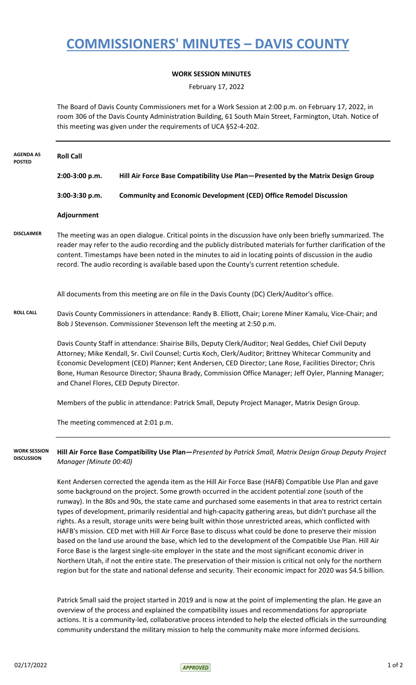# **COMMISSIONERS' MINUTES – DAVIS COUNTY**

### **WORK SESSION MINUTES**

February 17, 2022

The Board of Davis County Commissioners met for a Work Session at 2:00 p.m. on February 17, 2022, in room 306 of the Davis County Administration Building, 61 South Main Street, Farmington, Utah. Notice of this meeting was given under the requirements of UCA §52-4-202.

| <b>AGENDA AS</b><br><b>POSTED</b>        | <b>Roll Call</b>                                                                                                                                                                                                                                                                                                                                                                                                                                                                                                                                                                                                                                                                                                                                                        |                                                                                                                                                                                                                                                                                                                                                                                                                                                                                                                                                                                                                                                                                                                                                                                                                                                                                         |  |
|------------------------------------------|-------------------------------------------------------------------------------------------------------------------------------------------------------------------------------------------------------------------------------------------------------------------------------------------------------------------------------------------------------------------------------------------------------------------------------------------------------------------------------------------------------------------------------------------------------------------------------------------------------------------------------------------------------------------------------------------------------------------------------------------------------------------------|-----------------------------------------------------------------------------------------------------------------------------------------------------------------------------------------------------------------------------------------------------------------------------------------------------------------------------------------------------------------------------------------------------------------------------------------------------------------------------------------------------------------------------------------------------------------------------------------------------------------------------------------------------------------------------------------------------------------------------------------------------------------------------------------------------------------------------------------------------------------------------------------|--|
|                                          | 2:00-3:00 p.m.                                                                                                                                                                                                                                                                                                                                                                                                                                                                                                                                                                                                                                                                                                                                                          | Hill Air Force Base Compatibility Use Plan-Presented by the Matrix Design Group                                                                                                                                                                                                                                                                                                                                                                                                                                                                                                                                                                                                                                                                                                                                                                                                         |  |
|                                          | 3:00-3:30 p.m.                                                                                                                                                                                                                                                                                                                                                                                                                                                                                                                                                                                                                                                                                                                                                          | <b>Community and Economic Development (CED) Office Remodel Discussion</b>                                                                                                                                                                                                                                                                                                                                                                                                                                                                                                                                                                                                                                                                                                                                                                                                               |  |
|                                          | Adjournment                                                                                                                                                                                                                                                                                                                                                                                                                                                                                                                                                                                                                                                                                                                                                             |                                                                                                                                                                                                                                                                                                                                                                                                                                                                                                                                                                                                                                                                                                                                                                                                                                                                                         |  |
| <b>DISCLAIMER</b>                        | The meeting was an open dialogue. Critical points in the discussion have only been briefly summarized. The<br>reader may refer to the audio recording and the publicly distributed materials for further clarification of the<br>content. Timestamps have been noted in the minutes to aid in locating points of discussion in the audio<br>record. The audio recording is available based upon the County's current retention schedule.<br>All documents from this meeting are on file in the Davis County (DC) Clerk/Auditor's office.                                                                                                                                                                                                                                |                                                                                                                                                                                                                                                                                                                                                                                                                                                                                                                                                                                                                                                                                                                                                                                                                                                                                         |  |
|                                          |                                                                                                                                                                                                                                                                                                                                                                                                                                                                                                                                                                                                                                                                                                                                                                         |                                                                                                                                                                                                                                                                                                                                                                                                                                                                                                                                                                                                                                                                                                                                                                                                                                                                                         |  |
| <b>ROLL CALL</b>                         | Davis County Commissioners in attendance: Randy B. Elliott, Chair; Lorene Miner Kamalu, Vice-Chair; and<br>Bob J Stevenson. Commissioner Stevenson left the meeting at 2:50 p.m.<br>Davis County Staff in attendance: Shairise Bills, Deputy Clerk/Auditor; Neal Geddes, Chief Civil Deputy<br>Attorney; Mike Kendall, Sr. Civil Counsel; Curtis Koch, Clerk/Auditor; Brittney Whitecar Community and<br>Economic Development (CED) Planner; Kent Andersen, CED Director; Lane Rose, Facilities Director; Chris<br>Bone, Human Resource Director; Shauna Brady, Commission Office Manager; Jeff Oyler, Planning Manager;<br>and Chanel Flores, CED Deputy Director.<br>Members of the public in attendance: Patrick Small, Deputy Project Manager, Matrix Design Group. |                                                                                                                                                                                                                                                                                                                                                                                                                                                                                                                                                                                                                                                                                                                                                                                                                                                                                         |  |
|                                          |                                                                                                                                                                                                                                                                                                                                                                                                                                                                                                                                                                                                                                                                                                                                                                         |                                                                                                                                                                                                                                                                                                                                                                                                                                                                                                                                                                                                                                                                                                                                                                                                                                                                                         |  |
|                                          |                                                                                                                                                                                                                                                                                                                                                                                                                                                                                                                                                                                                                                                                                                                                                                         |                                                                                                                                                                                                                                                                                                                                                                                                                                                                                                                                                                                                                                                                                                                                                                                                                                                                                         |  |
|                                          |                                                                                                                                                                                                                                                                                                                                                                                                                                                                                                                                                                                                                                                                                                                                                                         | The meeting commenced at 2:01 p.m.                                                                                                                                                                                                                                                                                                                                                                                                                                                                                                                                                                                                                                                                                                                                                                                                                                                      |  |
| <b>WORK SESSION</b><br><b>DISCUSSION</b> | Hill Air Force Base Compatibility Use Plan-Presented by Patrick Small, Matrix Design Group Deputy Project<br>Manager (Minute 00:40)                                                                                                                                                                                                                                                                                                                                                                                                                                                                                                                                                                                                                                     |                                                                                                                                                                                                                                                                                                                                                                                                                                                                                                                                                                                                                                                                                                                                                                                                                                                                                         |  |
|                                          |                                                                                                                                                                                                                                                                                                                                                                                                                                                                                                                                                                                                                                                                                                                                                                         | Kent Andersen corrected the agenda item as the Hill Air Force Base (HAFB) Compatible Use Plan and gave<br>some background on the project. Some growth occurred in the accident potential zone (south of the<br>runway). In the 80s and 90s, the state came and purchased some easements in that area to restrict certain<br>types of development, primarily residential and high-capacity gathering areas, but didn't purchase all the<br>rights. As a result, storage units were being built within those unrestricted areas, which conflicted with<br>HAFB's mission. CED met with Hill Air Force Base to discuss what could be done to preserve their mission<br>based on the land use around the base, which led to the development of the Compatible Use Plan. Hill Air<br>Force Base is the largest single-site employer in the state and the most significant economic driver in |  |

Northern Utah, if not the entire state. The preservation of their mission is critical not only for the northern region but for the state and national defense and security. Their economic impact for 2020 was \$4.5 billion.

Patrick Small said the project started in 2019 and is now at the point of implementing the plan. He gave an overview of the process and explained the compatibility issues and recommendations for appropriate actions. It is a community-led, collaborative process intended to help the elected officials in the surrounding community understand the military mission to help the community make more informed decisions.